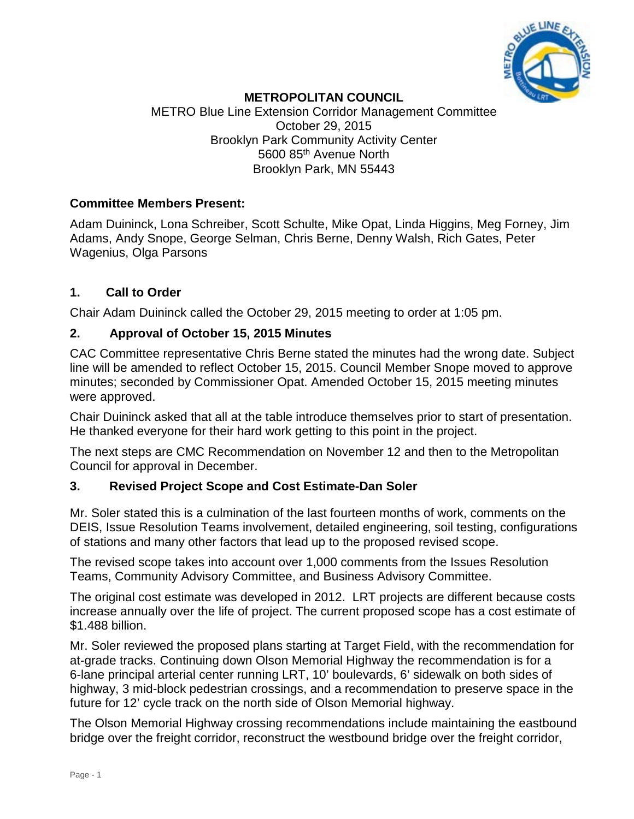

# **METROPOLITAN COUNCIL**

METRO Blue Line Extension Corridor Management Committee October 29, 2015 Brooklyn Park Community Activity Center 5600 85th Avenue North Brooklyn Park, MN 55443

#### **Committee Members Present:**

Adam Duininck, Lona Schreiber, Scott Schulte, Mike Opat, Linda Higgins, Meg Forney, Jim Adams, Andy Snope, George Selman, Chris Berne, Denny Walsh, Rich Gates, Peter Wagenius, Olga Parsons

## **1. Call to Order**

Chair Adam Duininck called the October 29, 2015 meeting to order at 1:05 pm.

#### **2. Approval of October 15, 2015 Minutes**

CAC Committee representative Chris Berne stated the minutes had the wrong date. Subject line will be amended to reflect October 15, 2015. Council Member Snope moved to approve minutes; seconded by Commissioner Opat. Amended October 15, 2015 meeting minutes were approved.

Chair Duininck asked that all at the table introduce themselves prior to start of presentation. He thanked everyone for their hard work getting to this point in the project.

The next steps are CMC Recommendation on November 12 and then to the Metropolitan Council for approval in December.

## **3. Revised Project Scope and Cost Estimate-Dan Soler**

Mr. Soler stated this is a culmination of the last fourteen months of work, comments on the DEIS, Issue Resolution Teams involvement, detailed engineering, soil testing, configurations of stations and many other factors that lead up to the proposed revised scope.

The revised scope takes into account over 1,000 comments from the Issues Resolution Teams, Community Advisory Committee, and Business Advisory Committee.

The original cost estimate was developed in 2012. LRT projects are different because costs increase annually over the life of project. The current proposed scope has a cost estimate of \$1.488 billion.

Mr. Soler reviewed the proposed plans starting at Target Field, with the recommendation for at-grade tracks. Continuing down Olson Memorial Highway the recommendation is for a 6-lane principal arterial center running LRT, 10' boulevards, 6' sidewalk on both sides of highway, 3 mid-block pedestrian crossings, and a recommendation to preserve space in the future for 12' cycle track on the north side of Olson Memorial highway.

The Olson Memorial Highway crossing recommendations include maintaining the eastbound bridge over the freight corridor, reconstruct the westbound bridge over the freight corridor,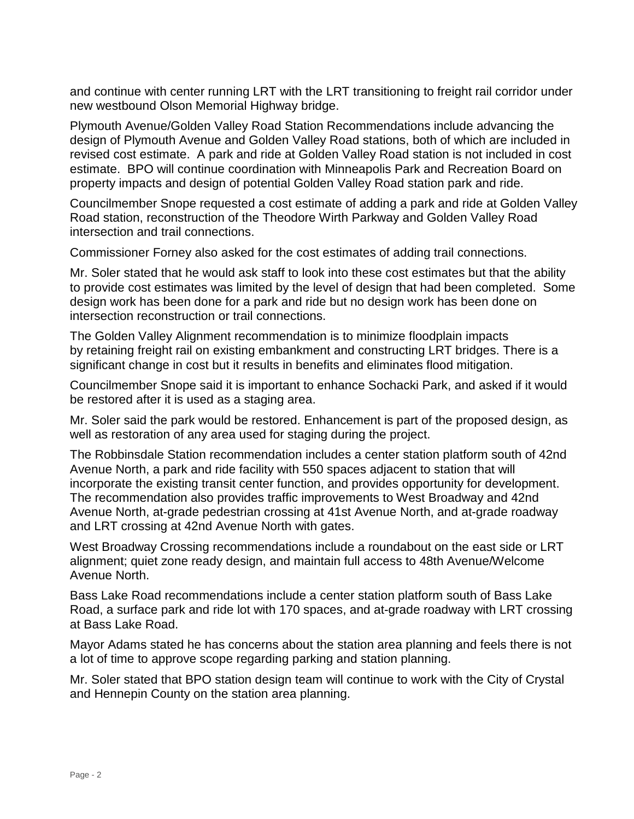and continue with center running LRT with the LRT transitioning to freight rail corridor under new westbound Olson Memorial Highway bridge.

Plymouth Avenue/Golden Valley Road Station Recommendations include advancing the design of Plymouth Avenue and Golden Valley Road stations, both of which are included in revised cost estimate. A park and ride at Golden Valley Road station is not included in cost estimate. BPO will continue coordination with Minneapolis Park and Recreation Board on property impacts and design of potential Golden Valley Road station park and ride.

Councilmember Snope requested a cost estimate of adding a park and ride at Golden Valley Road station, reconstruction of the Theodore Wirth Parkway and Golden Valley Road intersection and trail connections.

Commissioner Forney also asked for the cost estimates of adding trail connections.

Mr. Soler stated that he would ask staff to look into these cost estimates but that the ability to provide cost estimates was limited by the level of design that had been completed. Some design work has been done for a park and ride but no design work has been done on intersection reconstruction or trail connections.

The Golden Valley Alignment recommendation is to minimize floodplain impacts by retaining freight rail on existing embankment and constructing LRT bridges. There is a significant change in cost but it results in benefits and eliminates flood mitigation.

Councilmember Snope said it is important to enhance Sochacki Park, and asked if it would be restored after it is used as a staging area.

Mr. Soler said the park would be restored. Enhancement is part of the proposed design, as well as restoration of any area used for staging during the project.

The Robbinsdale Station recommendation includes a center station platform south of 42nd Avenue North, a park and ride facility with 550 spaces adjacent to station that will incorporate the existing transit center function, and provides opportunity for development. The recommendation also provides traffic improvements to West Broadway and 42nd Avenue North, at-grade pedestrian crossing at 41st Avenue North, and at-grade roadway and LRT crossing at 42nd Avenue North with gates.

West Broadway Crossing recommendations include a roundabout on the east side or LRT alignment; quiet zone ready design, and maintain full access to 48th Avenue/Welcome Avenue North.

Bass Lake Road recommendations include a center station platform south of Bass Lake Road, a surface park and ride lot with 170 spaces, and at-grade roadway with LRT crossing at Bass Lake Road.

Mayor Adams stated he has concerns about the station area planning and feels there is not a lot of time to approve scope regarding parking and station planning.

Mr. Soler stated that BPO station design team will continue to work with the City of Crystal and Hennepin County on the station area planning.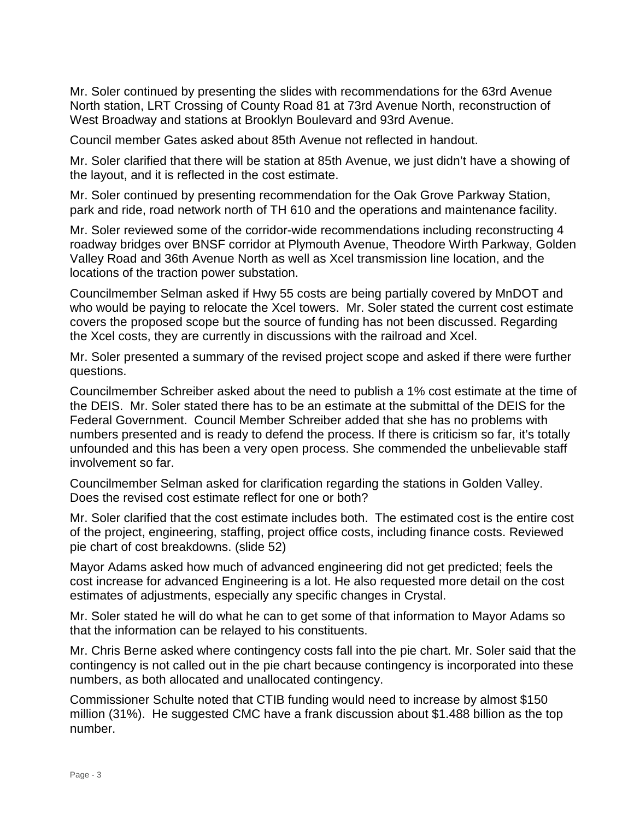Mr. Soler continued by presenting the slides with recommendations for the 63rd Avenue North station, LRT Crossing of County Road 81 at 73rd Avenue North, reconstruction of West Broadway and stations at Brooklyn Boulevard and 93rd Avenue.

Council member Gates asked about 85th Avenue not reflected in handout.

Mr. Soler clarified that there will be station at 85th Avenue, we just didn't have a showing of the layout, and it is reflected in the cost estimate.

Mr. Soler continued by presenting recommendation for the Oak Grove Parkway Station, park and ride, road network north of TH 610 and the operations and maintenance facility.

Mr. Soler reviewed some of the corridor-wide recommendations including reconstructing 4 roadway bridges over BNSF corridor at Plymouth Avenue, Theodore Wirth Parkway, Golden Valley Road and 36th Avenue North as well as Xcel transmission line location, and the locations of the traction power substation.

Councilmember Selman asked if Hwy 55 costs are being partially covered by MnDOT and who would be paying to relocate the Xcel towers. Mr. Soler stated the current cost estimate covers the proposed scope but the source of funding has not been discussed. Regarding the Xcel costs, they are currently in discussions with the railroad and Xcel.

Mr. Soler presented a summary of the revised project scope and asked if there were further questions.

Councilmember Schreiber asked about the need to publish a 1% cost estimate at the time of the DEIS. Mr. Soler stated there has to be an estimate at the submittal of the DEIS for the Federal Government. Council Member Schreiber added that she has no problems with numbers presented and is ready to defend the process. If there is criticism so far, it's totally unfounded and this has been a very open process. She commended the unbelievable staff involvement so far.

Councilmember Selman asked for clarification regarding the stations in Golden Valley. Does the revised cost estimate reflect for one or both?

Mr. Soler clarified that the cost estimate includes both. The estimated cost is the entire cost of the project, engineering, staffing, project office costs, including finance costs. Reviewed pie chart of cost breakdowns. (slide 52)

Mayor Adams asked how much of advanced engineering did not get predicted; feels the cost increase for advanced Engineering is a lot. He also requested more detail on the cost estimates of adjustments, especially any specific changes in Crystal.

Mr. Soler stated he will do what he can to get some of that information to Mayor Adams so that the information can be relayed to his constituents.

Mr. Chris Berne asked where contingency costs fall into the pie chart. Mr. Soler said that the contingency is not called out in the pie chart because contingency is incorporated into these numbers, as both allocated and unallocated contingency.

Commissioner Schulte noted that CTIB funding would need to increase by almost \$150 million (31%). He suggested CMC have a frank discussion about \$1.488 billion as the top number.